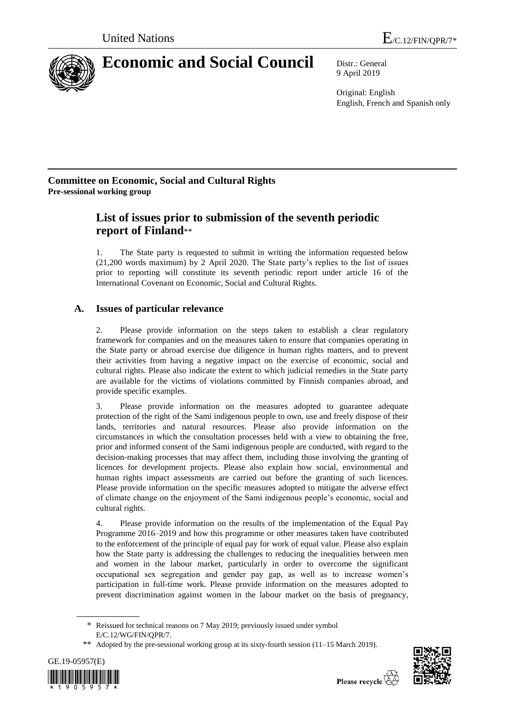

# **Economic and Social Council** Distr.: General

9 April 2019

Original: English English, French and Spanish only

### **Committee on Economic, Social and Cultural Rights Pre-sessional working group**

## **List of issues prior to submission of the seventh periodic report of Finland**\*\*

1. The State party is requested to submit in writing the information requested below (21,200 words maximum) by 2 April 2020. The State party's replies to the list of issues prior to reporting will constitute its seventh periodic report under article 16 of the International Covenant on Economic, Social and Cultural Rights.

## **A. Issues of particular relevance**

2. Please provide information on the steps taken to establish a clear regulatory framework for companies and on the measures taken to ensure that companies operating in the State party or abroad exercise due diligence in human rights matters, and to prevent their activities from having a negative impact on the exercise of economic, social and cultural rights. Please also indicate the extent to which judicial remedies in the State party are available for the victims of violations committed by Finnish companies abroad, and provide specific examples.

3. Please provide information on the measures adopted to guarantee adequate protection of the right of the Sami indigenous people to own, use and freely dispose of their lands, territories and natural resources. Please also provide information on the circumstances in which the consultation processes held with a view to obtaining the free, prior and informed consent of the Sami indigenous people are conducted, with regard to the decision-making processes that may affect them, including those involving the granting of licences for development projects. Please also explain how social, environmental and human rights impact assessments are carried out before the granting of such licences. Please provide information on the specific measures adopted to mitigate the adverse effect of climate change on the enjoyment of the Sami indigenous people's economic, social and cultural rights.

4. Please provide information on the results of the implementation of the Equal Pay Programme 2016–2019 and how this programme or other measures taken have contributed to the enforcement of the principle of equal pay for work of equal value. Please also explain how the State party is addressing the challenges to reducing the inequalities between men and women in the labour market, particularly in order to overcome the significant occupational sex segregation and gender pay gap, as well as to increase women's participation in full-time work. Please provide information on the measures adopted to prevent discrimination against women in the labour market on the basis of pregnancy,

<sup>\*\*</sup> Adopted by the pre-sessional working group at its [sixty-f](http://context.reverso.net/traduction/anglais-francais/sixtieth)ourth session (11–15 March 2019).





<sup>\*</sup> Reissued for technical reasons on 7 May 2019; previously issued under symbol E/C.12/WG/FIN/QPR/7.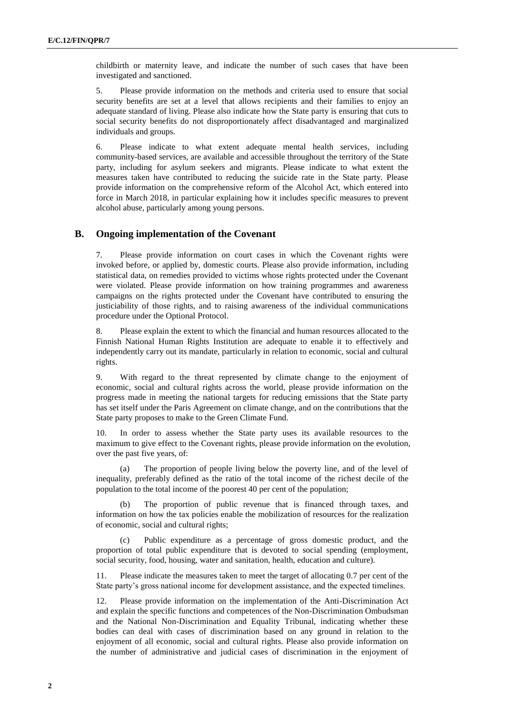childbirth or maternity leave, and indicate the number of such cases that have been investigated and sanctioned.

5. Please provide information on the methods and criteria used to ensure that social security benefits are set at a level that allows recipients and their families to enjoy an adequate standard of living. Please also indicate how the State party is ensuring that cuts to social security benefits do not disproportionately affect disadvantaged and marginalized individuals and groups.

6. Please indicate to what extent adequate mental health services, including community-based services, are available and accessible throughout the territory of the State party, including for asylum seekers and migrants. Please indicate to what extent the measures taken have contributed to reducing the suicide rate in the State party. Please provide information on the comprehensive reform of the Alcohol Act, which entered into force in March 2018, in particular explaining how it includes specific measures to prevent alcohol abuse, particularly among young persons.

#### **B. Ongoing implementation of the Covenant**

7. Please provide information on court cases in which the Covenant rights were invoked before, or applied by, domestic courts. Please also provide information, including statistical data, on remedies provided to victims whose rights protected under the Covenant were violated. Please provide information on how training programmes and awareness campaigns on the rights protected under the Covenant have contributed to ensuring the justiciability of those rights, and to raising awareness of the individual communications procedure under the Optional Protocol.

8. Please explain the extent to which the financial and human resources allocated to the Finnish National Human Rights Institution are adequate to enable it to effectively and independently carry out its mandate, particularly in relation to economic, social and cultural rights.

9. With regard to the threat represented by climate change to the enjoyment of economic, social and cultural rights across the world, please provide information on the progress made in meeting the national targets for reducing emissions that the State party has set itself under the Paris Agreement on climate change, and on the contributions that the State party proposes to make to the Green Climate Fund.

10. In order to assess whether the State party uses its available resources to the maximum to give effect to the Covenant rights, please provide information on the evolution, over the past five years, of:

(a) The proportion of people living below the poverty line, and of the level of inequality, preferably defined as the ratio of the total income of the richest decile of the population to the total income of the poorest 40 per cent of the population;

(b) The proportion of public revenue that is financed through taxes, and information on how the tax policies enable the mobilization of resources for the realization of economic, social and cultural rights;

Public expenditure as a percentage of gross domestic product, and the proportion of total public expenditure that is devoted to social spending (employment, social security, food, housing, water and sanitation, health, education and culture).

11. Please indicate the measures taken to meet the target of allocating 0.7 per cent of the State party's gross national income for development assistance, and the expected timelines.

12. Please provide information on the implementation of the Anti-Discrimination Act and explain the specific functions and competences of the Non-Discrimination Ombudsman and the National Non-Discrimination and Equality Tribunal, indicating whether these bodies can deal with cases of discrimination based on any ground in relation to the enjoyment of all economic, social and cultural rights. Please also provide information on the number of administrative and judicial cases of discrimination in the enjoyment of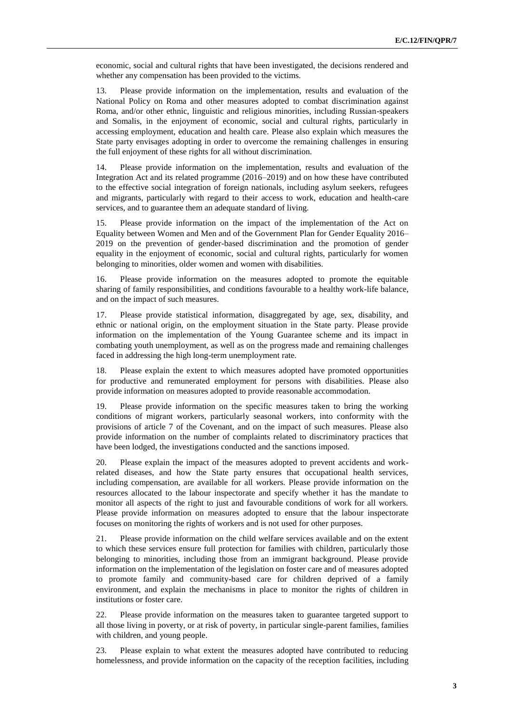economic, social and cultural rights that have been investigated, the decisions rendered and whether any compensation has been provided to the victims.

13. Please provide information on the implementation, results and evaluation of the National Policy on Roma and other measures adopted to combat discrimination against Roma, and/or other ethnic, linguistic and religious minorities, including Russian-speakers and Somalis, in the enjoyment of economic, social and cultural rights, particularly in accessing employment, education and health care. Please also explain which measures the State party envisages adopting in order to overcome the remaining challenges in ensuring the full enjoyment of these rights for all without discrimination.

14. Please provide information on the implementation, results and evaluation of the Integration Act and its related programme (2016–2019) and on how these have contributed to the effective social integration of foreign nationals, including asylum seekers, refugees and migrants, particularly with regard to their access to work, education and health-care services, and to guarantee them an adequate standard of living.

15. Please provide information on the impact of the implementation of the Act on Equality between Women and Men and of the Government Plan for Gender Equality 2016– 2019 on the prevention of gender-based discrimination and the promotion of gender equality in the enjoyment of economic, social and cultural rights, particularly for women belonging to minorities, older women and women with disabilities.

16. Please provide information on the measures adopted to promote the equitable sharing of family responsibilities, and conditions favourable to a healthy work-life balance, and on the impact of such measures.

17. Please provide statistical information, disaggregated by age, sex, disability, and ethnic or national origin, on the employment situation in the State party. Please provide information on the implementation of the Young Guarantee scheme and its impact in combating youth unemployment, as well as on the progress made and remaining challenges faced in addressing the high long-term unemployment rate.

18. Please explain the extent to which measures adopted have promoted opportunities for productive and remunerated employment for persons with disabilities. Please also provide information on measures adopted to provide reasonable accommodation.

19. Please provide information on the specific measures taken to bring the working conditions of migrant workers, particularly seasonal workers, into conformity with the provisions of article 7 of the Covenant, and on the impact of such measures. Please also provide information on the number of complaints related to discriminatory practices that have been lodged, the investigations conducted and the sanctions imposed.

20. Please explain the impact of the measures adopted to prevent accidents and workrelated diseases, and how the State party ensures that occupational health services, including compensation, are available for all workers. Please provide information on the resources allocated to the labour inspectorate and specify whether it has the mandate to monitor all aspects of the right to just and favourable conditions of work for all workers. Please provide information on measures adopted to ensure that the labour inspectorate focuses on monitoring the rights of workers and is not used for other purposes.

21. Please provide information on the child welfare services available and on the extent to which these services ensure full protection for families with children, particularly those belonging to minorities, including those from an immigrant background. Please provide information on the implementation of the legislation on foster care and of measures adopted to promote family and community-based care for children deprived of a family environment, and explain the mechanisms in place to monitor the rights of children in institutions or foster care.

22. Please provide information on the measures taken to guarantee targeted support to all those living in poverty, or at risk of poverty, in particular single-parent families, families with children, and young people.

23. Please explain to what extent the measures adopted have contributed to reducing homelessness, and provide information on the capacity of the reception facilities, including